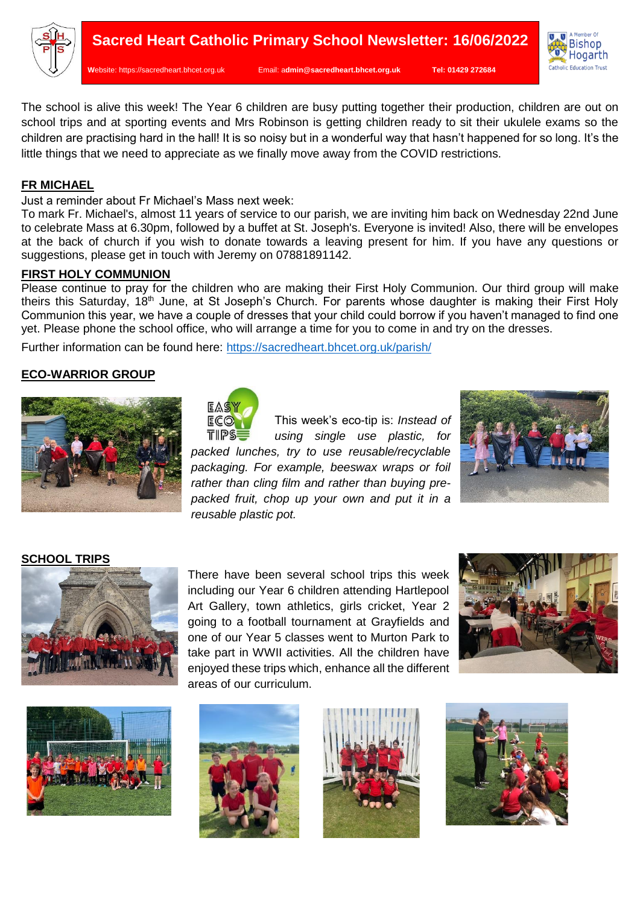

**W**ebsite: [https://sacredheart.bhcet.org.uk](https://sacredheart.bhcet.org.uk/) Email: a**[dmin@sacredheart.bhcet.org.uk](mailto:admin@sacredheart.bhcet.org.uk) Tel: 01429 272684**



The school is alive this week! The Year 6 children are busy putting together their production, children are out on school trips and at sporting events and Mrs Robinson is getting children ready to sit their ukulele exams so the children are practising hard in the hall! It is so noisy but in a wonderful way that hasn't happened for so long. It's the little things that we need to appreciate as we finally move away from the COVID restrictions.

## **FR MICHAEL**

Just a reminder about Fr Michael's Mass next week:

To mark Fr. Michael's, almost 11 years of service to our parish, we are inviting him back on Wednesday 22nd June to celebrate Mass at 6.30pm, followed by a buffet at St. Joseph's. Everyone is invited! Also, there will be envelopes at the back of church if you wish to donate towards a leaving present for him. If you have any questions or suggestions, please get in touch with Jeremy on 07881891142.

#### **FIRST HOLY COMMUNION**

Please continue to pray for the children who are making their First Holy Communion. Our third group will make theirs this Saturday, 18<sup>th</sup> June, at St Joseph's Church. For parents whose daughter is making their First Holy Communion this year, we have a couple of dresses that your child could borrow if you haven't managed to find one yet. Please phone the school office, who will arrange a time for you to come in and try on the dresses.

Further information can be found here:<https://sacredheart.bhcet.org.uk/parish/>

### **ECO-WARRIOR GROUP**



| EASY |  |
|------|--|
| ECO. |  |
|      |  |
| TIPS |  |

This week's eco-tip is: *Instead of using single use plastic, for* 

*packed lunches, try to use reusable/recyclable packaging. For example, beeswax wraps or foil rather than cling film and rather than buying prepacked fruit, chop up your own and put it in a reusable plastic pot.*



#### **SCHOOL TRIPS**



There have been several school trips this week including our Year 6 children attending Hartlepool Art Gallery, town athletics, girls cricket, Year 2 going to a football tournament at Grayfields and one of our Year 5 classes went to Murton Park to take part in WWII activities. All the children have enjoyed these trips which, enhance all the different areas of our curriculum.









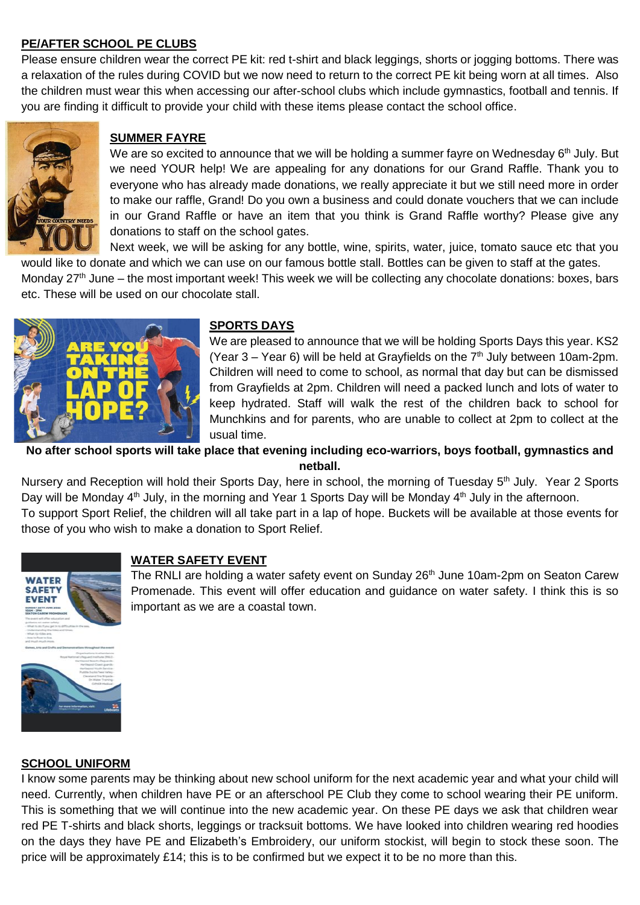## **PE/AFTER SCHOOL PE CLUBS**

Please ensure children wear the correct PE kit: red t-shirt and black leggings, shorts or jogging bottoms. There was a relaxation of the rules during COVID but we now need to return to the correct PE kit being worn at all times. Also the children must wear this when accessing our after-school clubs which include gymnastics, football and tennis. If you are finding it difficult to provide your child with these items please contact the school office.



## **SUMMER FAYRE**

We are so excited to announce that we will be holding a summer fayre on Wednesday 6<sup>th</sup> July. But we need YOUR help! We are appealing for any donations for our Grand Raffle. Thank you to everyone who has already made donations, we really appreciate it but we still need more in order to make our raffle, Grand! Do you own a business and could donate vouchers that we can include in our Grand Raffle or have an item that you think is Grand Raffle worthy? Please give any donations to staff on the school gates.

Next week, we will be asking for any bottle, wine, spirits, water, juice, tomato sauce etc that you would like to donate and which we can use on our famous bottle stall. Bottles can be given to staff at the gates.

Monday 27<sup>th</sup> June – the most important week! This week we will be collecting any chocolate donations: boxes, bars etc. These will be used on our chocolate stall.



#### **SPORTS DAYS**

We are pleased to announce that we will be holding Sports Days this year. KS2 (Year  $3 -$  Year 6) will be held at Grayfields on the  $7<sup>th</sup>$  July between 10am-2pm. Children will need to come to school, as normal that day but can be dismissed from Grayfields at 2pm. Children will need a packed lunch and lots of water to keep hydrated. Staff will walk the rest of the children back to school for Munchkins and for parents, who are unable to collect at 2pm to collect at the usual time.

**No after school sports will take place that evening including eco-warriors, boys football, gymnastics and netball.**

Nursery and Reception will hold their Sports Day, here in school, the morning of Tuesday 5<sup>th</sup> July. Year 2 Sports Day will be Monday 4<sup>th</sup> July, in the morning and Year 1 Sports Day will be Monday 4<sup>th</sup> July in the afternoon. To support Sport Relief, the children will all take part in a lap of hope. Buckets will be available at those events for

those of you who wish to make a donation to Sport Relief.



## **WATER SAFETY EVENT**

The RNLI are holding a water safety event on Sunday 26<sup>th</sup> June 10am-2pm on Seaton Carew Promenade. This event will offer education and guidance on water safety. I think this is so important as we are a coastal town.

#### **SCHOOL UNIFORM**

I know some parents may be thinking about new school uniform for the next academic year and what your child will need. Currently, when children have PE or an afterschool PE Club they come to school wearing their PE uniform. This is something that we will continue into the new academic year. On these PE days we ask that children wear red PE T-shirts and black shorts, leggings or tracksuit bottoms. We have looked into children wearing red hoodies on the days they have PE and Elizabeth's Embroidery, our uniform stockist, will begin to stock these soon. The price will be approximately £14; this is to be confirmed but we expect it to be no more than this.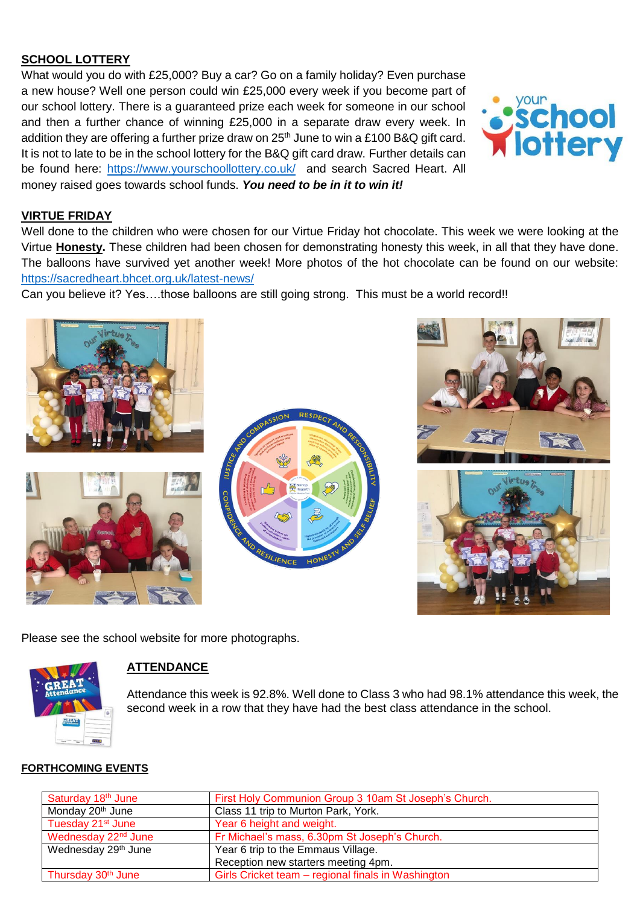## **SCHOOL LOTTERY**

What would you do with £25,000? Buy a car? Go on a family holiday? Even purchase a new house? Well one person could win £25,000 every week if you become part of our school lottery. There is a guaranteed prize each week for someone in our school and then a further chance of winning £25,000 in a separate draw every week. In addition they are offering a further prize draw on  $25<sup>th</sup>$  June to win a £100 B&Q gift card. It is not to late to be in the school lottery for the B&Q gift card draw. Further details can be found here:<https://www.yourschoollottery.co.uk/>and search Sacred Heart. All money raised goes towards school funds. *You need to be in it to win it!*

# **VIRTUE FRIDAY**

Well done to the children who were chosen for our Virtue Friday hot chocolate. This week we were looking at the Virtue **Honesty.** These children had been chosen for demonstrating honesty this week, in all that they have done. The balloons have survived yet another week! More photos of the hot chocolate can be found on our website: <https://sacredheart.bhcet.org.uk/latest-news/>

Can you believe it? Yes….those balloons are still going strong. This must be a world record!!







Please see the school website for more photographs.



# **ATTENDANCE**

Attendance this week is 92.8%. Well done to Class 3 who had 98.1% attendance this week, the second week in a row that they have had the best class attendance in the school.

## **FORTHCOMING EVENTS**

| Saturday 18th June              | First Holy Communion Group 3 10am St Joseph's Church. |
|---------------------------------|-------------------------------------------------------|
| Monday 20 <sup>th</sup> June    | Class 11 trip to Murton Park, York.                   |
| Tuesday 21 <sup>st</sup> June   | Year 6 height and weight.                             |
| Wednesday 22 <sup>nd</sup> June | Fr Michael's mass, 6.30pm St Joseph's Church.         |
| Wednesday 29 <sup>th</sup> June | Year 6 trip to the Emmaus Village.                    |
|                                 | Reception new starters meeting 4pm.                   |
| Thursday 30 <sup>th</sup> June  | Girls Cricket team – regional finals in Washington    |